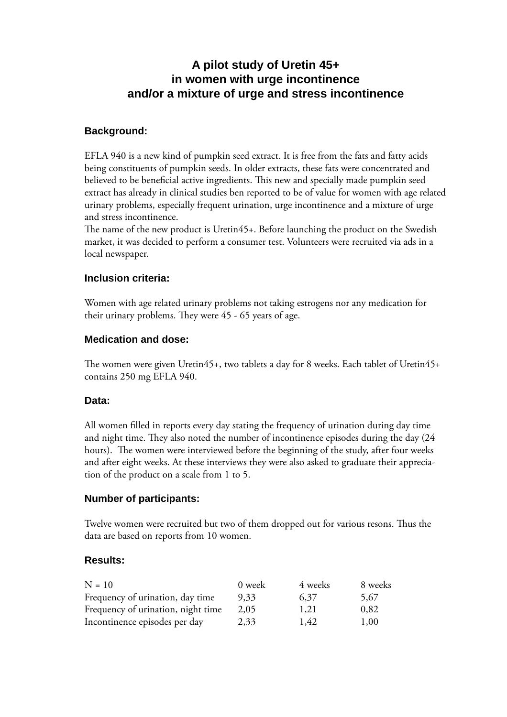# **A pilot study of Uretin 45+ in women with urge incontinence and/or a mixture of urge and stress incontinence**

## **Background:**

EFLA 940 is a new kind of pumpkin seed extract. It is free from the fats and fatty acids being constituents of pumpkin seeds. In older extracts, these fats were concentrated and believed to be beneficial active ingredients. This new and specially made pumpkin seed extract has already in clinical studies ben reported to be of value for women with age related urinary problems, especially frequent urination, urge incontinence and a mixture of urge and stress incontinence.

The name of the new product is Uretin45+. Before launching the product on the Swedish market, it was decided to perform a consumer test. Volunteers were recruited via ads in a local newspaper.

## **Inclusion criteria:**

Women with age related urinary problems not taking estrogens nor any medication for their urinary problems. They were  $45 - 65$  years of age.

#### **Medication and dose:**

The women were given Uretin45+, two tablets a day for 8 weeks. Each tablet of Uretin45+ contains 250 mg EFLA 940.

#### **Data:**

All women filled in reports every day stating the frequency of urination during day time and night time. They also noted the number of incontinence episodes during the day (24 hours). The women were interviewed before the beginning of the study, after four weeks and after eight weeks. At these interviews they were also asked to graduate their appreciation of the product on a scale from 1 to 5.

#### **Number of participants:**

Twelve women were recruited but two of them dropped out for various resons. Thus the data are based on reports from 10 women.

#### **Results:**

| $N = 10$                           | 0 week | 4 weeks | 8 weeks |
|------------------------------------|--------|---------|---------|
| Frequency of urination, day time   | 9,33   | 6,37    | 5,67    |
| Frequency of urination, night time | 2.05   | 1,21    | 0,82    |
| Incontinence episodes per day      | 2,33   | 1,42    | 1,00    |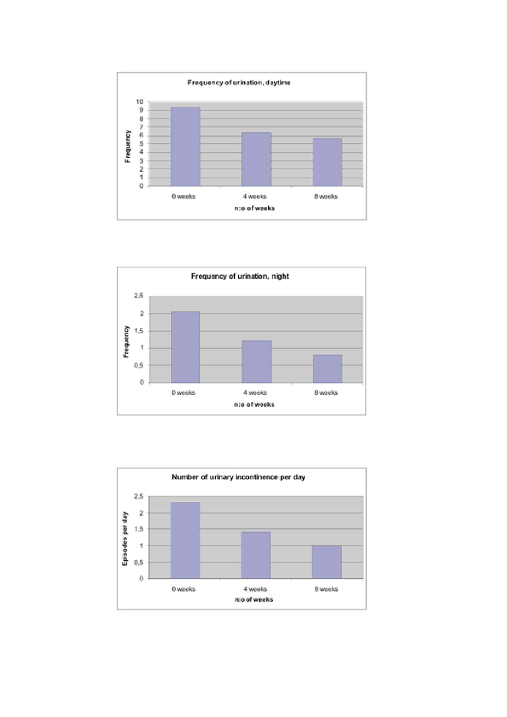



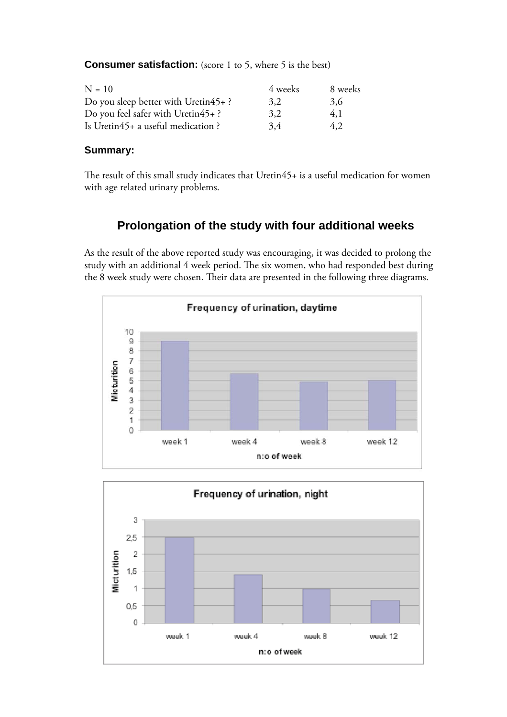**Consumer satisfaction:** (score 1 to 5, where 5 is the best)

| $N = 10$                                | 4 weeks | 8 weeks |
|-----------------------------------------|---------|---------|
| Do you sleep better with Uretin $45+$ ? | 3.2     | 3.6     |
| Do you feel safer with Uretin45+?       | 3.2     | 4,1     |
| Is Uretin45+ a useful medication ?      | 3.4     | 4.2     |

#### **Summary:**

The result of this small study indicates that Uretin45+ is a useful medication for women with age related urinary problems.

## **Prolongation of the study with four additional weeks**

As the result of the above reported study was encouraging, it was decided to prolong the study with an additional 4 week period. The six women, who had responded best during the 8 week study were chosen. Their data are presented in the following three diagrams.